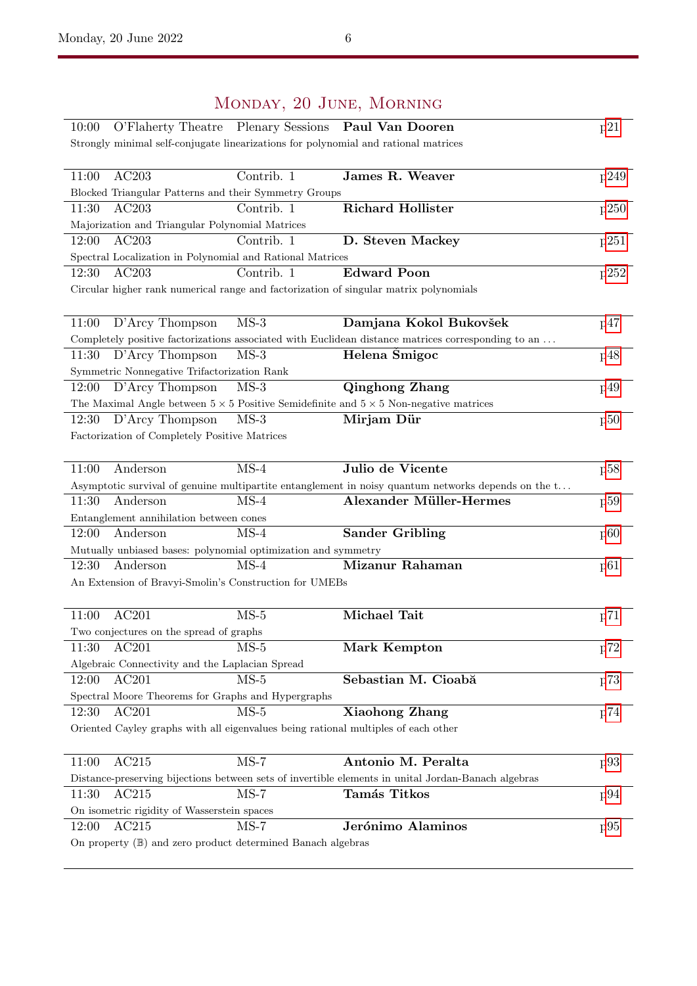## Monday, 20 June, Morning 10:00 O'Flaherty Theatre Plenary Sessions Paul Van Dooren [p21](#page--1-0) Strongly minimal self-conjugate linearizations for polynomial and rational matrices 11:00 AC203 Contrib. 1 James R. Weaver [p249](#page--1-0) Blocked Triangular Patterns and their Symmetry Groups 11:30 AC203 Contrib. 1 Richard Hollister [p250](#page--1-0) Majorization and Triangular Polynomial Matrices 12:00 AC203 Contrib. 1 D. Steven Mackey [p251](#page--1-1) Spectral Localization in Polynomial and Rational Matrices 12:30 AC203 Contrib. 1 Edward Poon [p252](#page--1-0) Circular higher rank numerical range and factorization of singular matrix polynomials 11:00 D'Arcy Thompson MS-3 **Damjana Kokol Bukovšek** [p47](#page--1-0) Completely positive factorizations associated with Euclidean distance matrices corresponding to an . . . 11:30 D'Arcy Thompson MS-3 **Helena Šmigoc** [p48](#page--1-0) Symmetric Nonnegative Trifactorization Rank 12:00 D'Arcy Thompson MS-3 **Qinghong Zhang** [p49](#page--1-0) The Maximal Angle between  $5 \times 5$  Positive Semidefinite and  $5 \times 5$  Non-negative matrices 12:30 D'Arcy Thompson MS-3 **Mirjam Dür** [p50](#page--1-0) Factorization of Completely Positive Matrices 11:00 Anderson MS-4 Julio de Vicente [p58](#page--1-0) Asymptotic survival of genuine multipartite entanglement in noisy quantum networks depends on the t. . . 11:30 Anderson MS-4 Alexander Müller-Hermes [p59](#page--1-0) Entanglement annihilation between cones 12:00 Anderson MS-4 Sander Gribling [p60](#page--1-0) Mutually unbiased bases: polynomial optimization and symmetry 12:30 Anderson MS-4 Mizanur Rahaman [p61](#page--1-0) An Extension of Bravyi-Smolin's Construction for UMEBs 11:00 AC201 MS-5 Michael Tait [p71](#page--1-0) Two conjectures on the spread of graphs 11:30 AC201 MS-5 **Mark Kempton** [p72](#page--1-0) Algebraic Connectivity and the Laplacian Spread 12:00 AC201 MS-5 Sebastian M. Cioabă [p73](#page--1-0) Spectral Moore Theorems for Graphs and Hypergraphs 12:30 AC201 MS-5 Xiaohong Zhang [p74](#page--1-0) Oriented Cayley graphs with all eigenvalues being rational multiples of each other 11:00 AC215 MS-7 Antonio M. Peralta [p93](#page--1-0) Distance-preserving bijections between sets of invertible elements in unital Jordan-Banach algebras 11:30 AC215 MS-7 Tamás Titkos [p94](#page--1-0) On isometric rigidity of Wasserstein spaces 12:00 AC215 MS-7 **Jerónimo Alaminos** [p95](#page--1-0) On property (B) and zero product determined Banach algebras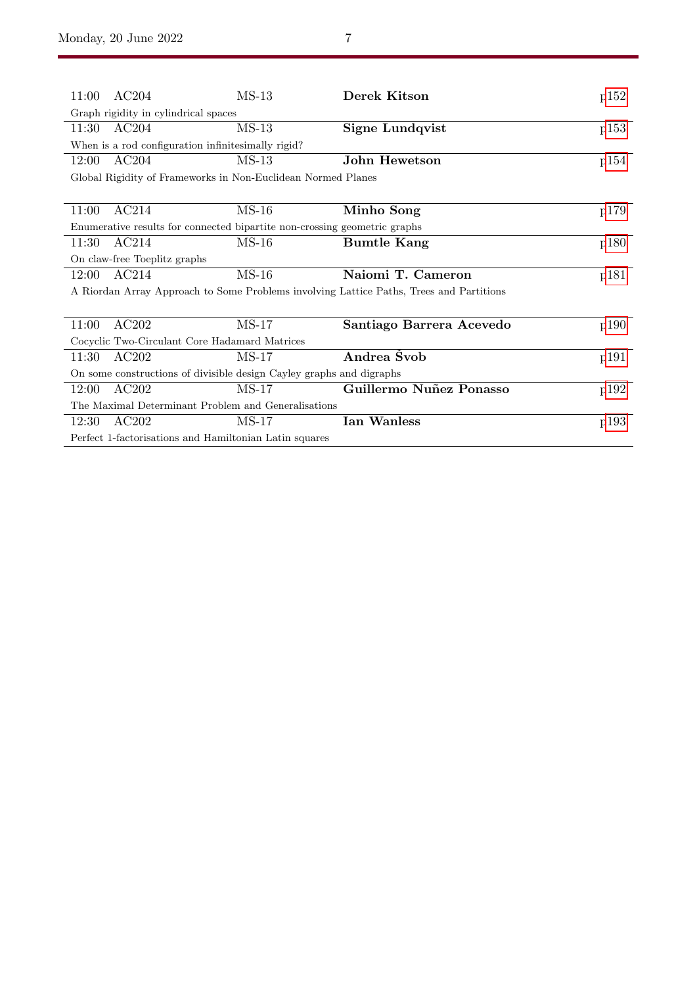| 11:00                                                                                   | AC204 | $MS-13$ | Derek Kitson             | p152 |  |  |  |
|-----------------------------------------------------------------------------------------|-------|---------|--------------------------|------|--|--|--|
| Graph rigidity in cylindrical spaces                                                    |       |         |                          |      |  |  |  |
| 11:30                                                                                   | AC204 | $MS-13$ | Signe Lundqvist          | p153 |  |  |  |
| When is a rod configuration infinitesimally rigid?                                      |       |         |                          |      |  |  |  |
| 12:00                                                                                   | AC204 | $MS-13$ | <b>John Hewetson</b>     | p154 |  |  |  |
| Global Rigidity of Frameworks in Non-Euclidean Normed Planes                            |       |         |                          |      |  |  |  |
|                                                                                         |       |         |                          |      |  |  |  |
| 11:00                                                                                   | AC214 | $MS-16$ | Minho Song               | p179 |  |  |  |
| Enumerative results for connected bipartite non-crossing geometric graphs               |       |         |                          |      |  |  |  |
| 11:30                                                                                   | AC214 | $MS-16$ | <b>Bumtle Kang</b>       | p180 |  |  |  |
| On claw-free Toeplitz graphs                                                            |       |         |                          |      |  |  |  |
| 12:00                                                                                   | AC214 | $MS-16$ | Naiomi T. Cameron        | p181 |  |  |  |
| A Riordan Array Approach to Some Problems involving Lattice Paths, Trees and Partitions |       |         |                          |      |  |  |  |
|                                                                                         |       |         |                          |      |  |  |  |
| 11:00                                                                                   | AC202 | $MS-17$ | Santiago Barrera Acevedo | p190 |  |  |  |
| Cocyclic Two-Circulant Core Hadamard Matrices                                           |       |         |                          |      |  |  |  |
| 11:30                                                                                   | AC202 | $MS-17$ | Andrea Švob              | p191 |  |  |  |
| On some constructions of divisible design Cayley graphs and digraphs                    |       |         |                          |      |  |  |  |
| 12:00                                                                                   | AC202 | $MS-17$ | Guillermo Nuñez Ponasso  | p192 |  |  |  |
| The Maximal Determinant Problem and Generalisations                                     |       |         |                          |      |  |  |  |
| 12:30                                                                                   | AC202 | $MS-17$ | <b>Ian Wanless</b>       | p193 |  |  |  |
| Perfect 1-factorisations and Hamiltonian Latin squares                                  |       |         |                          |      |  |  |  |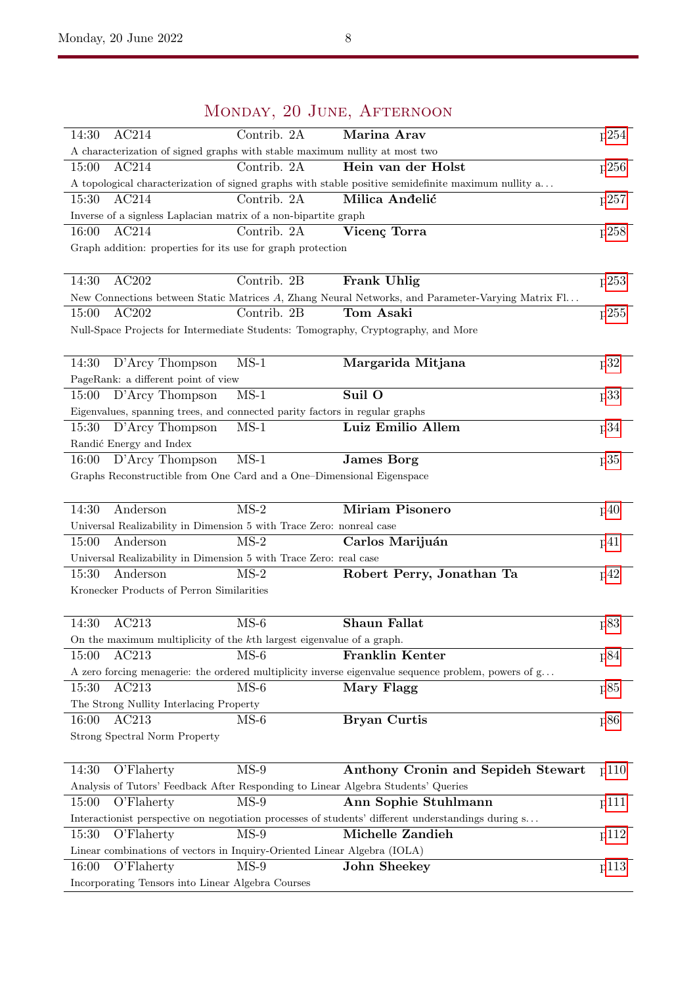| INFORDATI, 20 OUND, ALL LEARNOON                                                                            |                                           |      |  |  |  |  |  |
|-------------------------------------------------------------------------------------------------------------|-------------------------------------------|------|--|--|--|--|--|
| AC214<br>Contrib. 2A<br>14:30                                                                               | Marina Arav                               | p254 |  |  |  |  |  |
| A characterization of signed graphs with stable maximum nullity at most two                                 |                                           |      |  |  |  |  |  |
| Contrib. 2A<br>15:00<br>AC214                                                                               | Hein van der Holst                        | p256 |  |  |  |  |  |
| A topological characterization of signed graphs with stable positive semidefinite maximum nullity a         |                                           |      |  |  |  |  |  |
| AC214<br>Contrib. 2A<br>15:30                                                                               | Milica Andelić                            | p257 |  |  |  |  |  |
| Inverse of a signless Laplacian matrix of a non-bipartite graph                                             |                                           |      |  |  |  |  |  |
| AC214<br>Contrib. 2A<br>16:00                                                                               | Vicenç Torra                              | p258 |  |  |  |  |  |
| Graph addition: properties for its use for graph protection                                                 |                                           |      |  |  |  |  |  |
|                                                                                                             |                                           |      |  |  |  |  |  |
| AC202<br>14:30<br>Contrib. 2B                                                                               | Frank Uhlig                               | p253 |  |  |  |  |  |
| New Connections between Static Matrices A, Zhang Neural Networks, and Parameter-Varying Matrix Fl           |                                           |      |  |  |  |  |  |
| AC202<br>Contrib. 2B<br>15:00                                                                               | Tom Asaki                                 | p255 |  |  |  |  |  |
| Null-Space Projects for Intermediate Students: Tomography, Cryptography, and More                           |                                           |      |  |  |  |  |  |
|                                                                                                             |                                           |      |  |  |  |  |  |
| $MS-1$<br>14:30<br>D'Arcy Thompson                                                                          | Margarida Mitjana                         | p32  |  |  |  |  |  |
|                                                                                                             |                                           |      |  |  |  |  |  |
| PageRank: a different point of view                                                                         |                                           |      |  |  |  |  |  |
| $MS-1$<br>D'Arcy Thompson<br>15:00                                                                          | Suil O                                    | p33  |  |  |  |  |  |
| Eigenvalues, spanning trees, and connected parity factors in regular graphs                                 |                                           |      |  |  |  |  |  |
| D'Arcy Thompson<br>$MS-1$<br>15:30                                                                          | Luiz Emilio Allem                         | p34  |  |  |  |  |  |
| Randić Energy and Index                                                                                     |                                           |      |  |  |  |  |  |
| $MS-1$<br>D'Arcy Thompson<br>16:00                                                                          | <b>James Borg</b>                         | p35  |  |  |  |  |  |
| Graphs Reconstructible from One Card and a One-Dimensional Eigenspace                                       |                                           |      |  |  |  |  |  |
|                                                                                                             |                                           |      |  |  |  |  |  |
| $MS-2$<br>14:30<br>Anderson                                                                                 | <b>Miriam Pisonero</b>                    | p40  |  |  |  |  |  |
| Universal Realizability in Dimension 5 with Trace Zero: nonreal case                                        |                                           |      |  |  |  |  |  |
| $MS-2$<br>15:00<br>Anderson                                                                                 | Carlos Marijuán                           | p41  |  |  |  |  |  |
| Universal Realizability in Dimension 5 with Trace Zero: real case                                           |                                           |      |  |  |  |  |  |
| $MS-2$<br>15:30<br>Anderson                                                                                 | Robert Perry, Jonathan Ta                 | p42  |  |  |  |  |  |
| Kronecker Products of Perron Similarities                                                                   |                                           |      |  |  |  |  |  |
|                                                                                                             |                                           |      |  |  |  |  |  |
| AC213<br>$MS-6$<br>14:30                                                                                    | <b>Shaun Fallat</b>                       | p83  |  |  |  |  |  |
|                                                                                                             |                                           |      |  |  |  |  |  |
| On the maximum multiplicity of the kth largest eigenvalue of a graph.                                       |                                           |      |  |  |  |  |  |
| AC213<br>$MS-6$<br>15:00                                                                                    | <b>Franklin Kenter</b>                    | p84  |  |  |  |  |  |
| A zero forcing menagerie: the ordered multiplicity inverse eigenvalue sequence problem, powers of $g \dots$ |                                           |      |  |  |  |  |  |
| $MS-6$<br>AC213<br>15:30                                                                                    | Mary Flagg                                | p85  |  |  |  |  |  |
| The Strong Nullity Interlacing Property                                                                     |                                           |      |  |  |  |  |  |
| AC213<br>$MS-6$<br>16:00                                                                                    | <b>Bryan Curtis</b>                       | p86  |  |  |  |  |  |
| Strong Spectral Norm Property                                                                               |                                           |      |  |  |  |  |  |
|                                                                                                             |                                           |      |  |  |  |  |  |
| 14:30<br>O'Flaherty<br>$MS-9$                                                                               | <b>Anthony Cronin and Sepideh Stewart</b> | p110 |  |  |  |  |  |
| Analysis of Tutors' Feedback After Responding to Linear Algebra Students' Queries                           |                                           |      |  |  |  |  |  |
| $MS-9$<br>O'Flaherty<br>15:00                                                                               | Ann Sophie Stuhlmann                      | p111 |  |  |  |  |  |
| Interactionist perspective on negotiation processes of students' different understandings during s          |                                           |      |  |  |  |  |  |
| $MS-9$<br>15:30<br>O'Flaherty                                                                               | Michelle Zandieh                          | p112 |  |  |  |  |  |
| Linear combinations of vectors in Inquiry-Oriented Linear Algebra (IOLA)                                    |                                           |      |  |  |  |  |  |
| $MS-9$<br>16:00<br>O'Flaherty                                                                               | <b>John Sheekey</b>                       | p113 |  |  |  |  |  |
|                                                                                                             |                                           |      |  |  |  |  |  |
| Incorporating Tensors into Linear Algebra Courses                                                           |                                           |      |  |  |  |  |  |

## Monday, 20 June, Afternoon